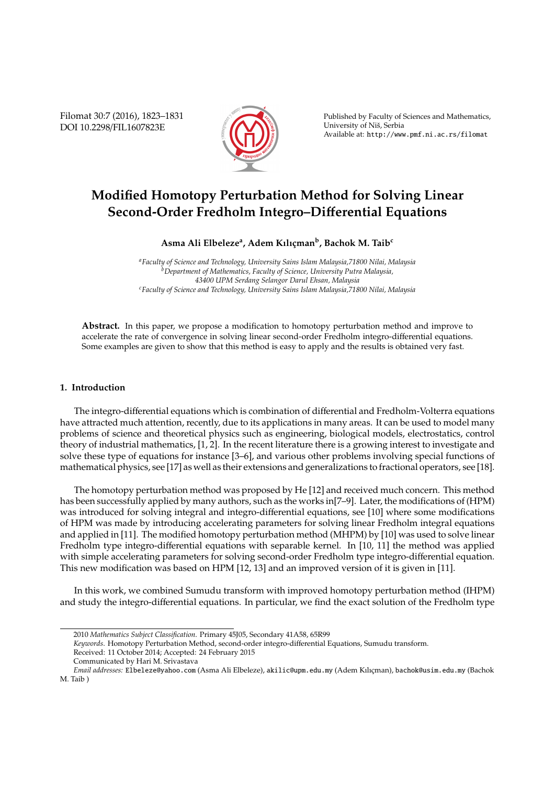Filomat 30:7 (2016), 1823–1831 DOI 10.2298/FIL1607823E



Published by Faculty of Sciences and Mathematics, University of Niš, Serbia Available at: http://www.pmf.ni.ac.rs/filomat

# **Modified Homotopy Perturbation Method for Solving Linear Second-Order Fredholm Integro–Di**ff**erential Equations**

 $\boldsymbol{\mathrm{Asma}}$  Ali Elbeleze<sup>a</sup>, Adem Kılıçman<sup>b</sup>, Bachok M. Taib $^{\text{c}}$ 

*<sup>a</sup>Faculty of Science and Technology, University Sains Islam Malaysia,71800 Nilai, Malaysia <sup>b</sup>Department of Mathematics, Faculty of Science, University Putra Malaysia, 43400 UPM Serdang Selangor Darul Ehsan, Malaysia <sup>c</sup>Faculty of Science and Technology, University Sains Islam Malaysia,71800 Nilai, Malaysia*

**Abstract.** In this paper, we propose a modification to homotopy perturbation method and improve to accelerate the rate of convergence in solving linear second-order Fredholm integro-differential equations. Some examples are given to show that this method is easy to apply and the results is obtained very fast.

## **1. Introduction**

The integro-differential equations which is combination of differential and Fredholm-Volterra equations have attracted much attention, recently, due to its applications in many areas. It can be used to model many problems of science and theoretical physics such as engineering, biological models, electrostatics, control theory of industrial mathematics, [1, 2]. In the recent literature there is a growing interest to investigate and solve these type of equations for instance [3–6], and various other problems involving special functions of mathematical physics, see [17] as well as their extensions and generalizations to fractional operators, see [18].

The homotopy perturbation method was proposed by He [12] and received much concern. This method has been successfully applied by many authors, such as the works in[7–9]. Later, the modifications of (HPM) was introduced for solving integral and integro-differential equations, see [10] where some modifications of HPM was made by introducing accelerating parameters for solving linear Fredholm integral equations and applied in [11]. The modified homotopy perturbation method (MHPM) by [10] was used to solve linear Fredholm type integro-differential equations with separable kernel. In [10, 11] the method was applied with simple accelerating parameters for solving second-order Fredholm type integro-differential equation. This new modification was based on HPM [12, 13] and an improved version of it is given in [11].

In this work, we combined Sumudu transform with improved homotopy perturbation method (IHPM) and study the integro-differential equations. In particular, we find the exact solution of the Fredholm type

<sup>2010</sup> *Mathematics Subject Classification*. Primary 45J05, Secondary 41A58, 65R99

*Keywords*. Homotopy Perturbation Method, second-order integro-differential Equations, Sumudu transform.

Received: 11 October 2014; Accepted: 24 February 2015

Communicated by Hari M. Srivastava

*Email addresses:* Elbeleze@yahoo.com (Asma Ali Elbeleze), akilic@upm.edu.my (Adem Kılıcman), bachok@usim.edu.my (Bachok M. Taib )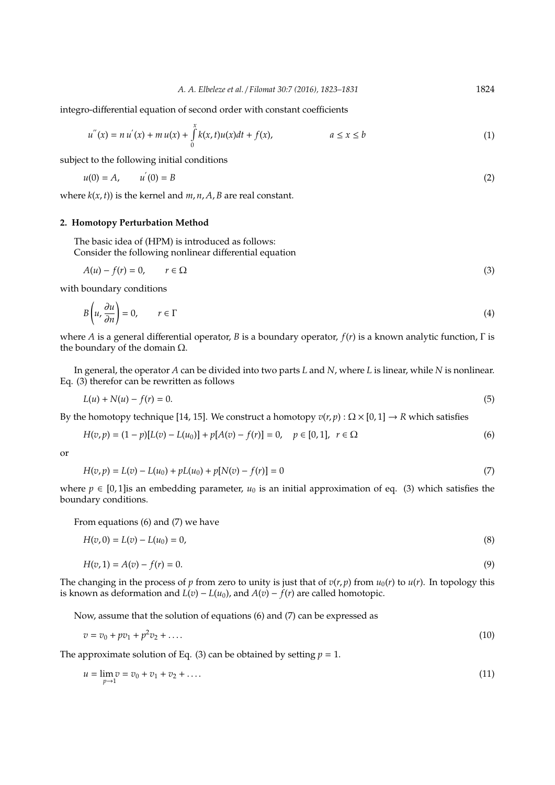integro-differential equation of second order with constant coefficients

$$
u''(x) = n u'(x) + m u(x) + \int_{0}^{x} k(x, t) u(x) dt + f(x), \qquad a \le x \le b
$$
 (1)

subject to the following initial conditions

$$
u(0) = A, \qquad u'(0) = B \tag{2}
$$

where  $k(x, t)$ ) is the kernel and  $m, n, A, B$  are real constant.

## **2. Homotopy Perturbation Method**

The basic idea of (HPM) is introduced as follows: Consider the following nonlinear differential equation

$$
A(u) - f(r) = 0, \qquad r \in \Omega
$$
\n<sup>(3)</sup>

with boundary conditions

$$
B\left(u, \frac{\partial u}{\partial n}\right) = 0, \qquad r \in \Gamma
$$
\n<sup>(4)</sup>

where *A* is a general differential operator, *B* is a boundary operator, *f*(*r*) is a known analytic function, Γ is the boundary of the domain  $Ω$ .

In general, the operator *A* can be divided into two parts *L* and *N*, where *L* is linear, while *N* is nonlinear. Eq. (3) therefor can be rewritten as follows

$$
L(u) + N(u) - f(r) = 0.
$$
\n(5)

By the homotopy technique [14, 15]. We construct a homotopy  $v(r, p)$  :  $\Omega \times [0, 1] \rightarrow R$  which satisfies

$$
H(v,p) = (1-p)[L(v) - L(u_0)] + p[A(v) - f(r)] = 0, \quad p \in [0,1], \ r \in \Omega
$$
\n
$$
(6)
$$

or

$$
H(v, p) = L(v) - L(u_0) + pL(u_0) + p[N(v) - f(r)] = 0
$$
\n(7)

where  $p \in [0,1]$  is an embedding parameter,  $u_0$  is an initial approximation of eq. (3) which satisfies the boundary conditions.

From equations (6) and (7) we have

$$
H(v,0) = L(v) - L(u_0) = 0,
$$
\n(8)

$$
H(v, 1) = A(v) - f(r) = 0.
$$
\n(9)

The changing in the process of *p* from zero to unity is just that of  $v(r, p)$  from  $u_0(r)$  to  $u(r)$ . In topology this is known as deformation and  $L(v) - L(u_0)$ , and  $A(v) - f(r)$  are called homotopic.

Now, assume that the solution of equations (6) and (7) can be expressed as

$$
v = v_0 + pv_1 + p^2 v_2 + \dots \tag{10}
$$

The approximate solution of Eq. (3) can be obtained by setting  $p = 1$ .

$$
u = \lim_{p \to 1} v = v_0 + v_1 + v_2 + \dots
$$
 (11)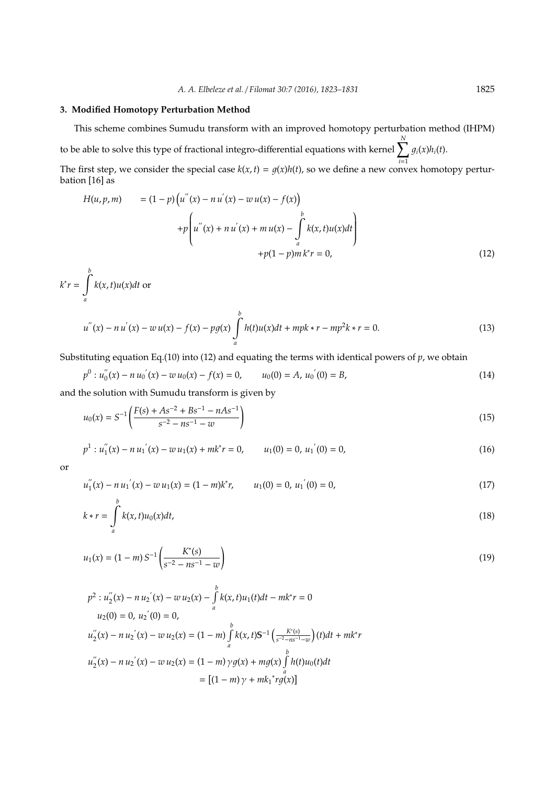## **3. Modified Homotopy Perturbation Method**

This scheme combines Sumudu transform with an improved homotopy perturbation method (IHPM)

to be able to solve this type of fractional integro-differential equations with kernel  $\sum_{i=1}^{N}$ *i*=1  $g_i(x)h_i(t)$ .

The first step, we consider the special case  $k(x, t) = g(x)h(t)$ , so we define a new convex homotopy perturbation [16] as

$$
H(u, p, m) = (1 - p) \left( u''(x) - n u'(x) - w u(x) - f(x) \right)
$$
  
+ 
$$
p \left( u''(x) + n u'(x) + m u(x) - \int_a^b k(x, t) u(x) dt \right)
$$
  
+ 
$$
p(1 - p) m k^* r = 0,
$$
 (12)

$$
k^{*}r = \int_{a}^{b} k(x, t)u(x)dt
$$
 or  

$$
u^{''}(x) - n u^{'}(x) - w u(x) - f(x) - pg(x)\int_{a}^{b} h(t)u(x)dt + mpk * r - mp^{2}k * r = 0.
$$
 (13)

Substituting equation Eq.(10) into (12) and equating the terms with identical powers of *p*, we obtain

$$
p^{0}: u''_{0}(x) - n u'_{0}(x) - w u_{0}(x) - f(x) = 0, \qquad u_{0}(0) = A, \, u_{0}(0) = B,\tag{14}
$$

and the solution with Sumudu transform is given by

$$
u_0(x) = S^{-1} \left( \frac{F(s) + As^{-2} + Bs^{-1} - nAs^{-1}}{s^{-2} - ns^{-1} - w} \right)
$$
\n(15)

$$
p^{1} : u''_{1}(x) - n u'_{1}(x) - w u_{1}(x) + m k^{*} r = 0, \qquad u_{1}(0) = 0, \, u'_{1}(0) = 0,
$$
\n
$$
(16)
$$

or

*b*

$$
u_1''(x) - n u_1'(x) - w u_1(x) = (1 - m)k^* r, \qquad u_1(0) = 0, \ u_1'(0) = 0,
$$
\n(17)

$$
k * r = \int_{a}^{b} k(x, t)u_0(x)dt,
$$
\n(18)

$$
u_1(x) = (1 - m) S^{-1} \left( \frac{K^*(s)}{s^{-2} - ns^{-1} - w} \right)
$$
 (19)

$$
p^{2}: u_{2}^{''}(x) - n u_{2}^{'}(x) - w u_{2}(x) - \int_{a}^{b} k(x, t)u_{1}(t)dt - mk^{*}r = 0
$$
  
\n
$$
u_{2}(0) = 0, u_{2}^{'}(0) = 0,
$$
  
\n
$$
u_{2}^{''}(x) - n u_{2}^{'}(x) - w u_{2}(x) = (1 - m) \int_{a}^{b} k(x, t)S^{-1} \left(\frac{K^{*}(s)}{s^{-2} - ns^{-1} - w}\right)(t)dt + mk^{*}r
$$
  
\n
$$
u_{2}^{''}(x) - n u_{2}^{'}(x) - w u_{2}(x) = (1 - m) \gamma g(x) + mg(x) \int_{a}^{b} h(t)u_{0}(t)dt
$$
  
\n
$$
= [(1 - m) \gamma + mk_{1}^{*}rg(x)]
$$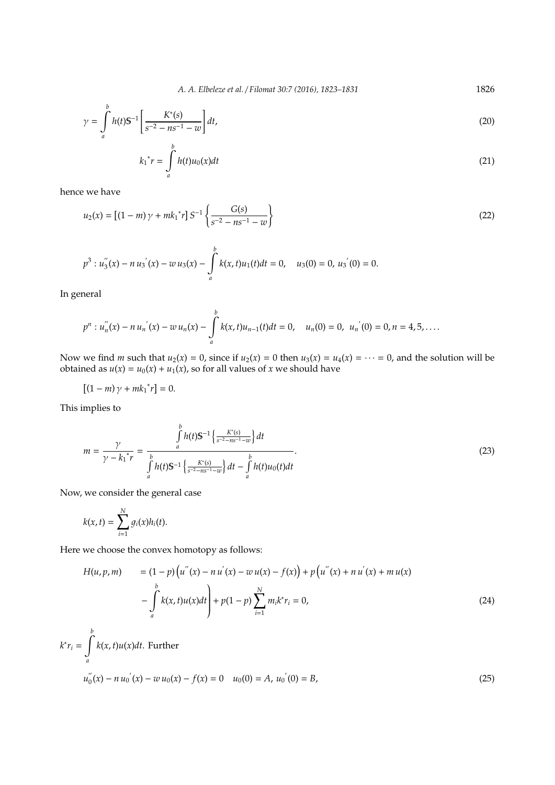*A. A. Elbeleze et al.* / *Filomat 30:7 (2016), 1823–1831* 1826

$$
\gamma = \int_{a}^{b} h(t) S^{-1} \left[ \frac{K^*(s)}{s^{-2} - n s^{-1} - w} \right] dt,
$$
\n(20)

$$
k_1^* r = \int_a^b h(t) u_0(x) dt
$$
 (21)

hence we have

$$
u_2(x) = \left[ (1 - m) \gamma + mk_1^* r \right] S^{-1} \left\{ \frac{G(s)}{s^{-2} - ns^{-1} - w} \right\}
$$
 (22)

$$
p^{3}: u_{3}^{''}(x) - n u_{3}^{'}(x) - w u_{3}(x) - \int_{a}^{b} k(x,t)u_{1}(t)dt = 0, \quad u_{3}(0) = 0, \, u_{3}^{'}(0) = 0.
$$

In general

$$
p^{n}: u''_{n}(x) - n u'_{n}(x) - w u_{n}(x) - \int_{a}^{b} k(x,t)u_{n-1}(t)dt = 0, \quad u_{n}(0) = 0, \; u'_{n}(0) = 0, n = 4, 5, \ldots
$$

Now we find *m* such that  $u_2(x) = 0$ , since if  $u_2(x) = 0$  then  $u_3(x) = u_4(x) = \cdots = 0$ , and the solution will be obtained as  $u(x) = u_0(x) + u_1(x)$ , so for all values of *x* we should have

$$
[(1-m)\gamma + mk_1^*r] = 0.
$$

This implies to

$$
m = \frac{\gamma}{\gamma - k_1^* r} = \frac{\int_a^b h(t) \mathbb{S}^{-1} \left\{ \frac{K^*(s)}{s^{-2} - n s^{-1} - w} \right\} dt}{\int_a^b h(t) \mathbb{S}^{-1} \left\{ \frac{K^*(s)}{s^{-2} - n s^{-1} - w} \right\} dt - \int_a^b h(t) u_0(t) dt}.
$$
\n(23)

Now, we consider the general case

$$
k(x,t)=\sum_{i=1}^N g_i(x)h_i(t).
$$

Here we choose the convex homotopy as follows:

$$
H(u, p, m) = (1 - p) (u''(x) - n u'(x) - w u(x) - f(x)) + p (u''(x) + n u'(x) + m u(x))
$$
  

$$
- \int_{a}^{b} k(x, t) u(x) dt + p(1 - p) \sum_{i=1}^{N} m_i k^* r_i = 0,
$$
 (24)

$$
k^* r_i = \int_a^b k(x, t) u(x) dt.
$$
 Further  

$$
u''_0(x) - n u'_0(x) - w u_0(x) - f(x) = 0 \quad u_0(0) = A, u'_0(0) = B,
$$
 (25)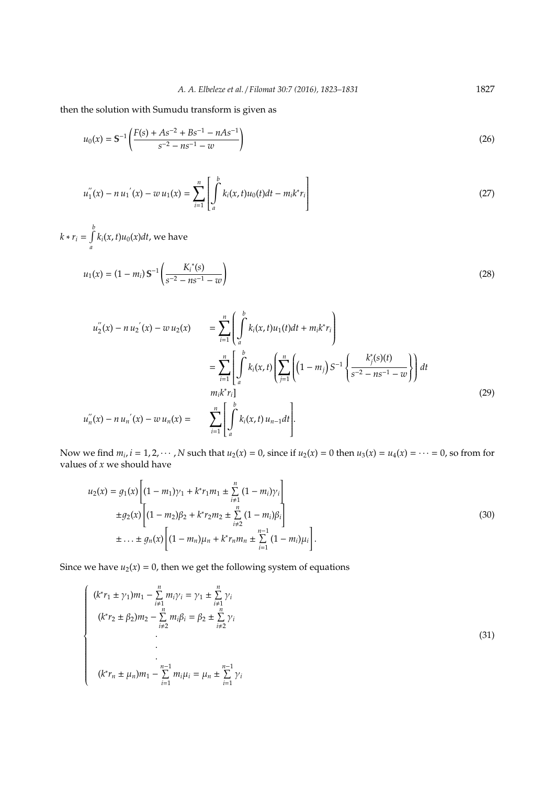then the solution with Sumudu transform is given as

$$
u_0(x) = S^{-1} \left( \frac{F(s) + As^{-2} + Bs^{-1} - nAs^{-1}}{s^{-2} - ns^{-1} - w} \right)
$$
 (26)

$$
u_1''(x) - n u_1'(x) - w u_1(x) = \sum_{i=1}^n \left[ \int_a^b k_i(x, t) u_0(t) dt - m_i k^* r_i \right]
$$
 (27)

*k* ∗  $r_i = \int_0^b$ *a*  $k_i(x,t)u_0(x)dt$ , we have

$$
u_1(x) = (1 - m_i) S^{-1} \left( \frac{K_i^*(s)}{s^{-2} - n s^{-1} - w} \right)
$$
 (28)

$$
u''_2(x) - n u'_2(x) - w u_2(x) = \sum_{i=1}^n \left( \int_a^b k_i(x, t) u_1(t) dt + m_i k^* r_i \right)
$$
  
\n
$$
= \sum_{i=1}^n \left[ \int_a^b k_i(x, t) \left( \sum_{j=1}^n \left( (1 - m_j) S^{-1} \left\{ \frac{k_j^*(s)(t)}{s^{-2} - n s^{-1} - w} \right\} \right) dt \right. \right]
$$
  
\n
$$
u''_n(x) - n u'_n(x) - w u_n(x) = \sum_{i=1}^n \left[ \int_a^b k_i(x, t) u_{n-1} dt \right].
$$
  
\n(29)

Now we find  $m_i$ ,  $i = 1, 2, \dots, N$  such that  $u_2(x) = 0$ , since if  $u_2(x) = 0$  then  $u_3(x) = u_4(x) = \dots = 0$ , so from for values of *x* we should have

$$
u_2(x) = g_1(x) \left[ (1 - m_1)\gamma_1 + k^* r_1 m_1 \pm \sum_{i \neq 1}^n (1 - m_i) \gamma_i \right]
$$
  
\n
$$
\pm g_2(x) \left[ (1 - m_2)\beta_2 + k^* r_2 m_2 \pm \sum_{i \neq 2}^n (1 - m_i) \beta_i \right]
$$
  
\n
$$
\pm \ldots \pm g_n(x) \left[ (1 - m_n)\mu_n + k^* r_n m_n \pm \sum_{i=1}^{n-1} (1 - m_i) \mu_i \right].
$$
\n(30)

Since we have  $u_2(x) = 0$ , then we get the following system of equations

$$
\begin{cases}\n(k^*r_1 \pm \gamma_1)m_1 - \sum_{i=1}^n m_i\gamma_i = \gamma_1 \pm \sum_{i=1}^n \gamma_i \\
(k^*r_2 \pm \beta_2)m_2 - \sum_{i=2}^n m_i\beta_i = \beta_2 \pm \sum_{i=2}^n \gamma_i \\
\vdots \\
(k^*r_n \pm \mu_n)m_1 - \sum_{i=1}^{n-1} m_i\mu_i = \mu_n \pm \sum_{i=1}^{n-1} \gamma_i\n\end{cases}
$$
\n(31)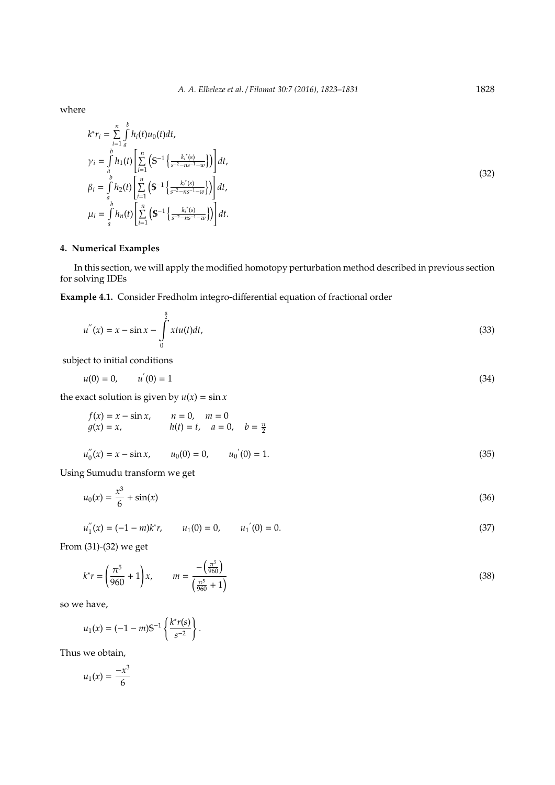where

$$
k^* r_i = \sum_{i=1}^n \int_a^b h_i(t) u_0(t) dt,
$$
  
\n
$$
\gamma_i = \int_a^b h_1(t) \left[ \sum_{i=1}^n \left( S^{-1} \left\{ \frac{k_i^*(s)}{s^{-2} - n s^{-1} - w} \right\} \right) \right] dt,
$$
  
\n
$$
\beta_i = \int_a^b h_2(t) \left[ \sum_{i=1}^n \left( S^{-1} \left\{ \frac{k_i^*(s)}{s^{-2} - n s^{-1} - w} \right\} \right) \right] dt,
$$
  
\n
$$
\mu_i = \int_a^b h_n(t) \left[ \sum_{i=1}^n \left( S^{-1} \left\{ \frac{k_i^*(s)}{s^{-2} - n s^{-1} - w} \right\} \right) \right] dt.
$$
\n(32)

## **4. Numerical Examples**

In this section, we will apply the modified homotopy perturbation method described in previous section for solving IDEs

**Example 4.1.** Consider Fredholm integro-differential equation of fractional order

$$
u''(x) = x - \sin x - \int_{0}^{\frac{\pi}{2}} x t u(t) dt,
$$
\n(33)

subject to initial conditions

$$
u(0) = 0, \qquad u^{'}(0) = 1 \tag{34}
$$

the exact solution is given by  $u(x) = \sin x$ 

$$
f(x) = x - \sin x
$$
,  $n = 0$ ,  $m = 0$   
\n $g(x) = x$ ,  $h(t) = t$ ,  $a = 0$ ,  $b = \frac{\pi}{2}$ 

$$
u_0''(x) = x - \sin x, \qquad u_0(0) = 0, \qquad u_0'(0) = 1.
$$
 (35)

Using Sumudu transform we get

$$
u_0(x) = \frac{x^3}{6} + \sin(x) \tag{36}
$$

$$
u_1''(x) = (-1 - m)k^* r, \qquad u_1(0) = 0, \qquad u_1'(0) = 0.
$$
\n(37)

From (31)-(32) we get

$$
k^*r = \left(\frac{\pi^5}{960} + 1\right)x, \qquad m = \frac{-\left(\frac{\pi^5}{960}\right)}{\left(\frac{\pi^5}{960} + 1\right)}
$$
(38)

so we have,

$$
u_1(x) = (-1-m)S^{-1}\left\{\frac{k^* r(s)}{s^{-2}}\right\}.
$$

Thus we obtain,

$$
u_1(x) = \frac{-x^3}{6}
$$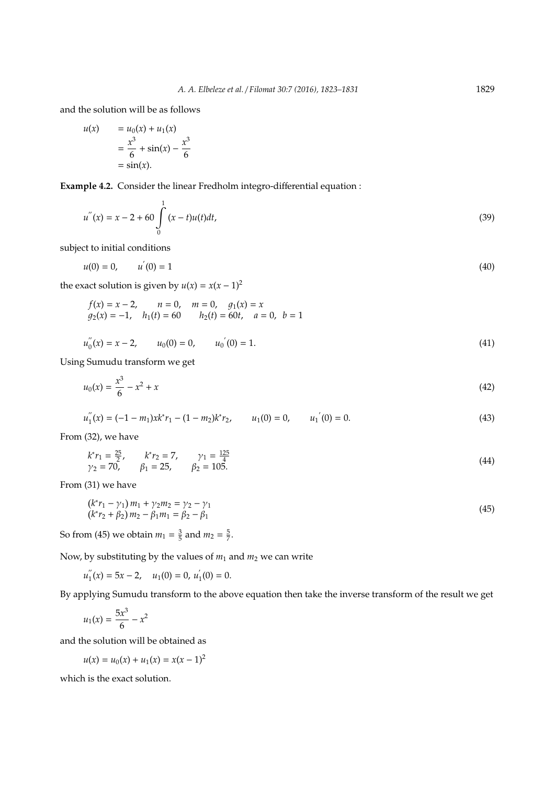and the solution will be as follows

$$
u(x) = u_0(x) + u_1(x)
$$
  
=  $\frac{x^3}{6} + \sin(x) - \frac{x^3}{6}$   
=  $\sin(x)$ .

**Example 4.2.** Consider the linear Fredholm integro-differential equation :

$$
u''(x) = x - 2 + 60 \int_{0}^{1} (x - t)u(t)dt,
$$
\n(39)

subject to initial conditions

$$
u(0) = 0, \qquad u^{'}(0) = 1 \tag{40}
$$

the exact solution is given by  $u(x) = x(x - 1)^2$ 

$$
f(x) = x - 2
$$
,  $n = 0$ ,  $m = 0$ ,  $g_1(x) = x$   
\n $g_2(x) = -1$ ,  $h_1(t) = 60$   $h_2(t) = 60t$ ,  $a = 0$ ,  $b = 1$ 

$$
u_0''(x) = x - 2, \qquad u_0(0) = 0, \qquad u_0'(0) = 1. \tag{41}
$$

Using Sumudu transform we get

3

$$
u_0(x) = \frac{x^3}{6} - x^2 + x \tag{42}
$$

$$
u_1''(x) = (-1 - m_1)xk^*r_1 - (1 - m_2)k^*r_2, \qquad u_1(0) = 0, \qquad u_1'(0) = 0.
$$
 (43)

From (32), we have

$$
k^* r_1 = \frac{25}{2}, \qquad k^* r_2 = 7, \qquad \gamma_1 = \frac{125}{4}
$$
  
\n
$$
\gamma_2 = 70, \qquad \beta_1 = 25, \qquad \beta_2 = 105.
$$
\n(44)

From (31) we have

$$
(k^*r_1 - \gamma_1)m_1 + \gamma_2m_2 = \gamma_2 - \gamma_1(k^*r_2 + \beta_2)m_2 - \beta_1m_1 = \beta_2 - \beta_1
$$
\n(45)

So from (45) we obtain  $m_1 = \frac{3}{5}$  and  $m_2 = \frac{5}{7}$ .

Now, by substituting by the values of  $m_1$  and  $m_2$  we can write

 $u_1^{''}$  $u_1''(x) = 5x - 2, \quad u_1(0) = 0, u_2'$  $\mathbf{1}_{1}(0)=0.$ 

By applying Sumudu transform to the above equation then take the inverse transform of the result we get

$$
u_1(x) = \frac{5x^3}{6} - x^2
$$

and the solution will be obtained as

$$
u(x) = u_0(x) + u_1(x) = x(x - 1)^2
$$

which is the exact solution.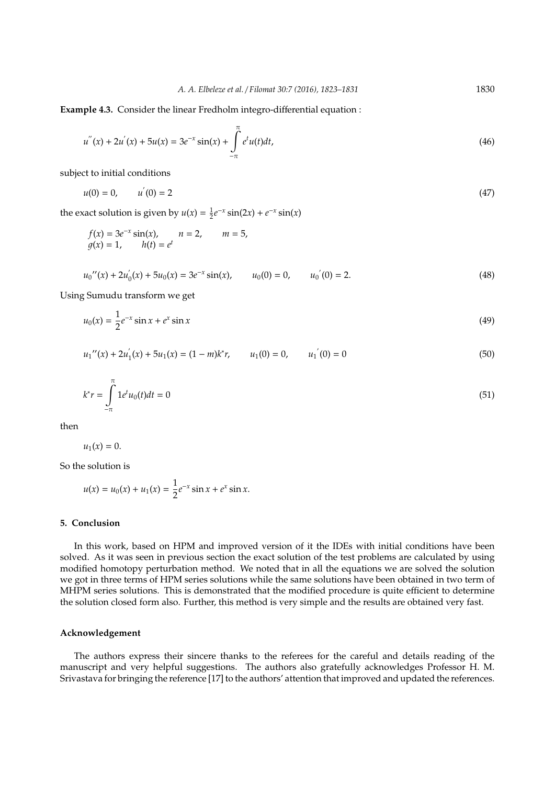**Example 4.3.** Consider the linear Fredholm integro-differential equation :

$$
u''(x) + 2u'(x) + 5u(x) = 3e^{-x}\sin(x) + \int_{-\pi}^{\pi} e^t u(t)dt,
$$
\n(46)

subject to initial conditions

$$
u(0) = 0, \qquad u'(0) = 2 \tag{47}
$$

the exact solution is given by  $u(x) = \frac{1}{2}e^{-x}\sin(2x) + e^{-x}\sin(x)$ 

$$
f(x) = 3e^{-x} \sin(x),
$$
  $n = 2,$   $m = 5,$   
\n $g(x) = 1,$   $h(t) = e^{t}$ 

$$
u_0''(x) + 2u_0'(x) + 5u_0(x) = 3e^{-x}\sin(x), \qquad u_0(0) = 0, \qquad u_0'(0) = 2.
$$
 (48)

Using Sumudu transform we get

$$
u_0(x) = \frac{1}{2}e^{-x}\sin x + e^x\sin x
$$
 (49)

$$
u_1''(x) + 2u_1'(x) + 5u_1(x) = (1 - m)k^*r, \qquad u_1(0) = 0, \qquad u_1'(0) = 0 \tag{50}
$$

$$
k^*r = \int_{-\pi}^{\pi} 1e^t u_0(t)dt = 0
$$
\n(51)

then

 $u_1(x) = 0.$ 

So the solution is

$$
u(x) = u_0(x) + u_1(x) = \frac{1}{2}e^{-x}\sin x + e^x\sin x.
$$

## **5. Conclusion**

In this work, based on HPM and improved version of it the IDEs with initial conditions have been solved. As it was seen in previous section the exact solution of the test problems are calculated by using modified homotopy perturbation method. We noted that in all the equations we are solved the solution we got in three terms of HPM series solutions while the same solutions have been obtained in two term of MHPM series solutions. This is demonstrated that the modified procedure is quite efficient to determine the solution closed form also. Further, this method is very simple and the results are obtained very fast.

## **Acknowledgement**

The authors express their sincere thanks to the referees for the careful and details reading of the manuscript and very helpful suggestions. The authors also gratefully acknowledges Professor H. M. Srivastava for bringing the reference [17] to the authors' attention that improved and updated the references.